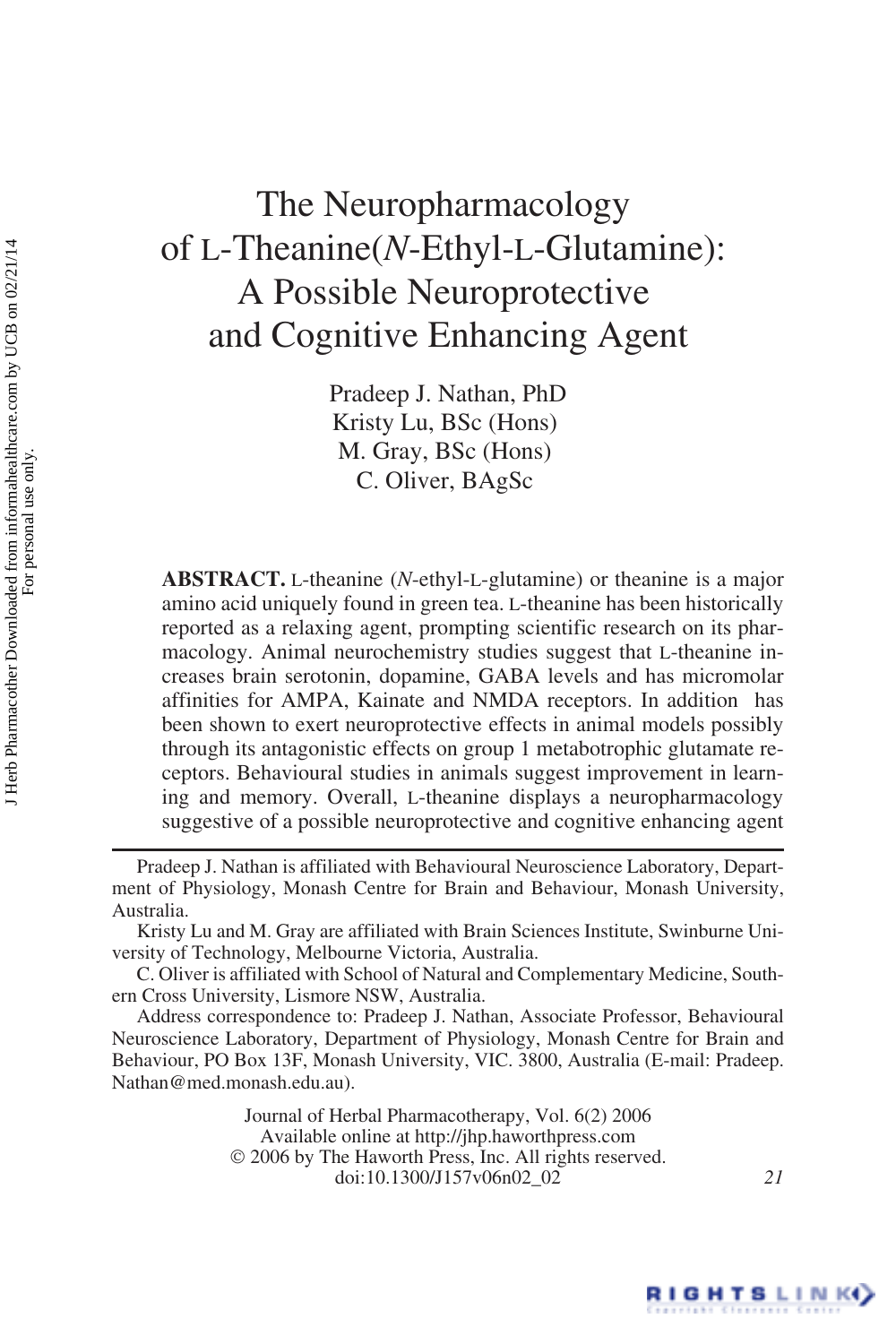# The Neuropharmacology of L-Theanine(*N*-Ethyl-L-Glutamine): A Possible Neuroprotective and Cognitive Enhancing Agent

Pradeep J. Nathan, PhD Kristy Lu, BSc (Hons) M. Gray, BSc (Hons) C. Oliver, BAgSc

**ABSTRACT.** L-theanine (*N*-ethyl-L-glutamine) or theanine is a major amino acid uniquely found in green tea. L-theanine has been historically reported as a relaxing agent, prompting scientific research on its pharmacology. Animal neurochemistry studies suggest that L-theanine increases brain serotonin, dopamine, GABA levels and has micromolar affinities for AMPA, Kainate and NMDA receptors. In addition has been shown to exert neuroprotective effects in animal models possibly through its antagonistic effects on group 1 metabotrophic glutamate receptors. Behavioural studies in animals suggest improvement in learning and memory. Overall, L-theanine displays a neuropharmacology suggestive of a possible neuroprotective and cognitive enhancing agent

Journal of Herbal Pharmacotherapy, Vol. 6(2) 2006 Available online at http://jhp.haworthpress.com © 2006 by The Haworth Press, Inc. All rights reserved. doi:10.1300/J157v06n02\_02 *21*



Pradeep J. Nathan is affiliated with Behavioural Neuroscience Laboratory, Department of Physiology, Monash Centre for Brain and Behaviour, Monash University, Australia.

Kristy Lu and M. Gray are affiliated with Brain Sciences Institute, Swinburne University of Technology, Melbourne Victoria, Australia.

C. Oliver is affiliated with School of Natural and Complementary Medicine, Southern Cross University, Lismore NSW, Australia.

Address correspondence to: Pradeep J. Nathan, Associate Professor, Behavioural Neuroscience Laboratory, Department of Physiology, Monash Centre for Brain and Behaviour, PO Box 13F, Monash University, VIC. 3800, Australia (E-mail: Pradeep. Nathan@med.monash.edu.au).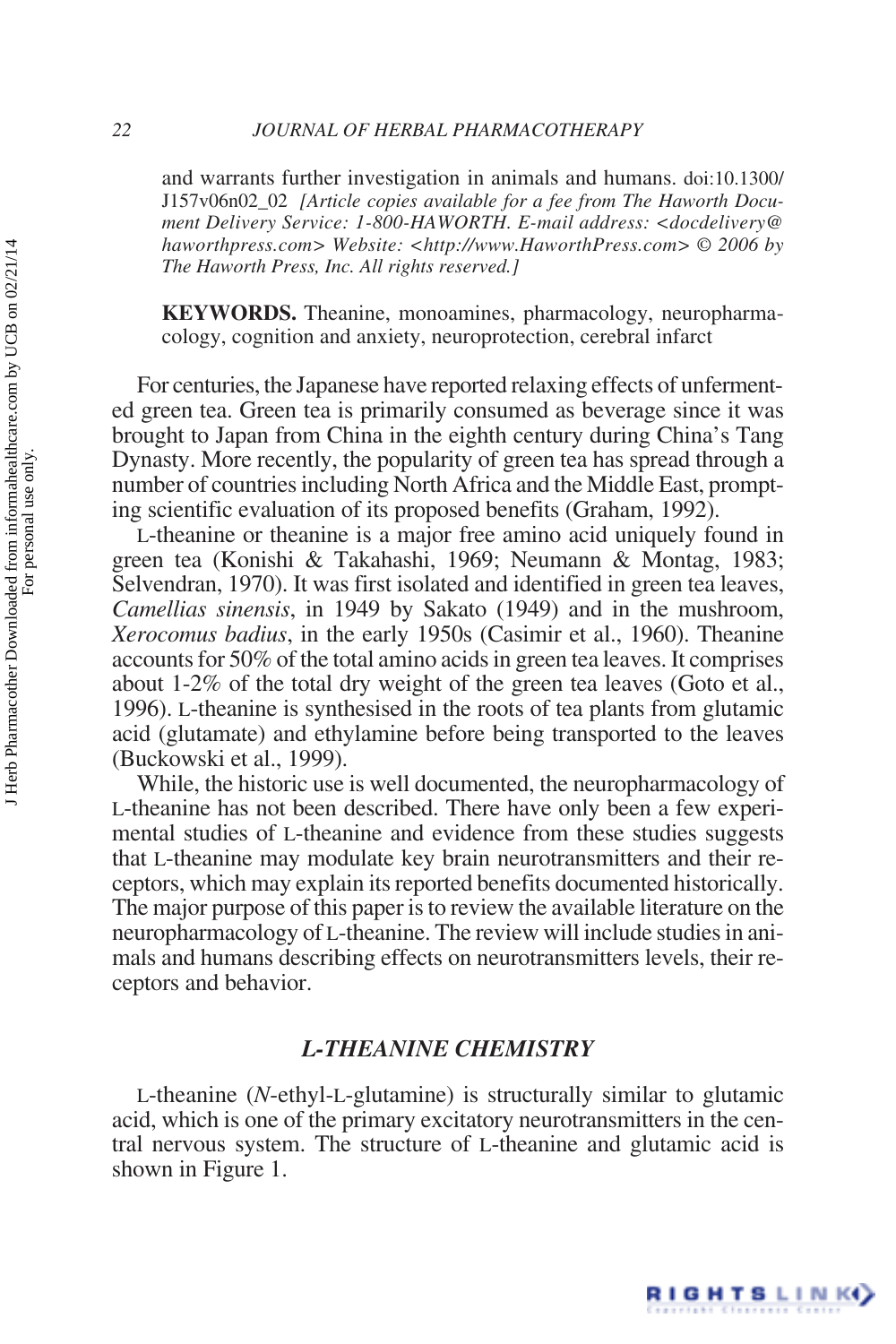and warrants further investigation in animals and humans. doi:10.1300/ J157v06n02\_02 *[Article copies available for a fee from The Haworth Document Delivery Service: 1-800-HAWORTH. E-mail address: <docdelivery@ haworthpress.com> Website: <http://www.HaworthPress.com> © 2006 by The Haworth Press, Inc. All rights reserved.]*

**KEYWORDS.** Theanine, monoamines, pharmacology, neuropharmacology, cognition and anxiety, neuroprotection, cerebral infarct

For centuries, the Japanese have reported relaxing effects of unfermented green tea. Green tea is primarily consumed as beverage since it was brought to Japan from China in the eighth century during China's Tang Dynasty. More recently, the popularity of green tea has spread through a number of countries including North Africa and the Middle East, prompting scientific evaluation of its proposed benefits (Graham, 1992).

L-theanine or theanine is a major free amino acid uniquely found in green tea (Konishi & Takahashi, 1969; Neumann & Montag, 1983; Selvendran, 1970). It was first isolated and identified in green tea leaves, *Camellias sinensis*, in 1949 by Sakato (1949) and in the mushroom, *Xerocomus badius*, in the early 1950s (Casimir et al., 1960). Theanine accounts for 50% of the total amino acids in green tea leaves. It comprises about 1-2% of the total dry weight of the green tea leaves (Goto et al., 1996). L-theanine is synthesised in the roots of tea plants from glutamic acid (glutamate) and ethylamine before being transported to the leaves (Buckowski et al., 1999).

While, the historic use is well documented, the neuropharmacology of L-theanine has not been described. There have only been a few experimental studies of L-theanine and evidence from these studies suggests that L-theanine may modulate key brain neurotransmitters and their receptors, which may explain its reported benefits documented historically. The major purpose of this paper is to review the available literature on the neuropharmacology of L-theanine. The review will include studies in animals and humans describing effects on neurotransmitters levels, their receptors and behavior.

## *L-THEANINE CHEMISTRY*

L-theanine (*N*-ethyl-L-glutamine) is structurally similar to glutamic acid, which is one of the primary excitatory neurotransmitters in the central nervous system. The structure of L-theanine and glutamic acid is shown in Figure 1.

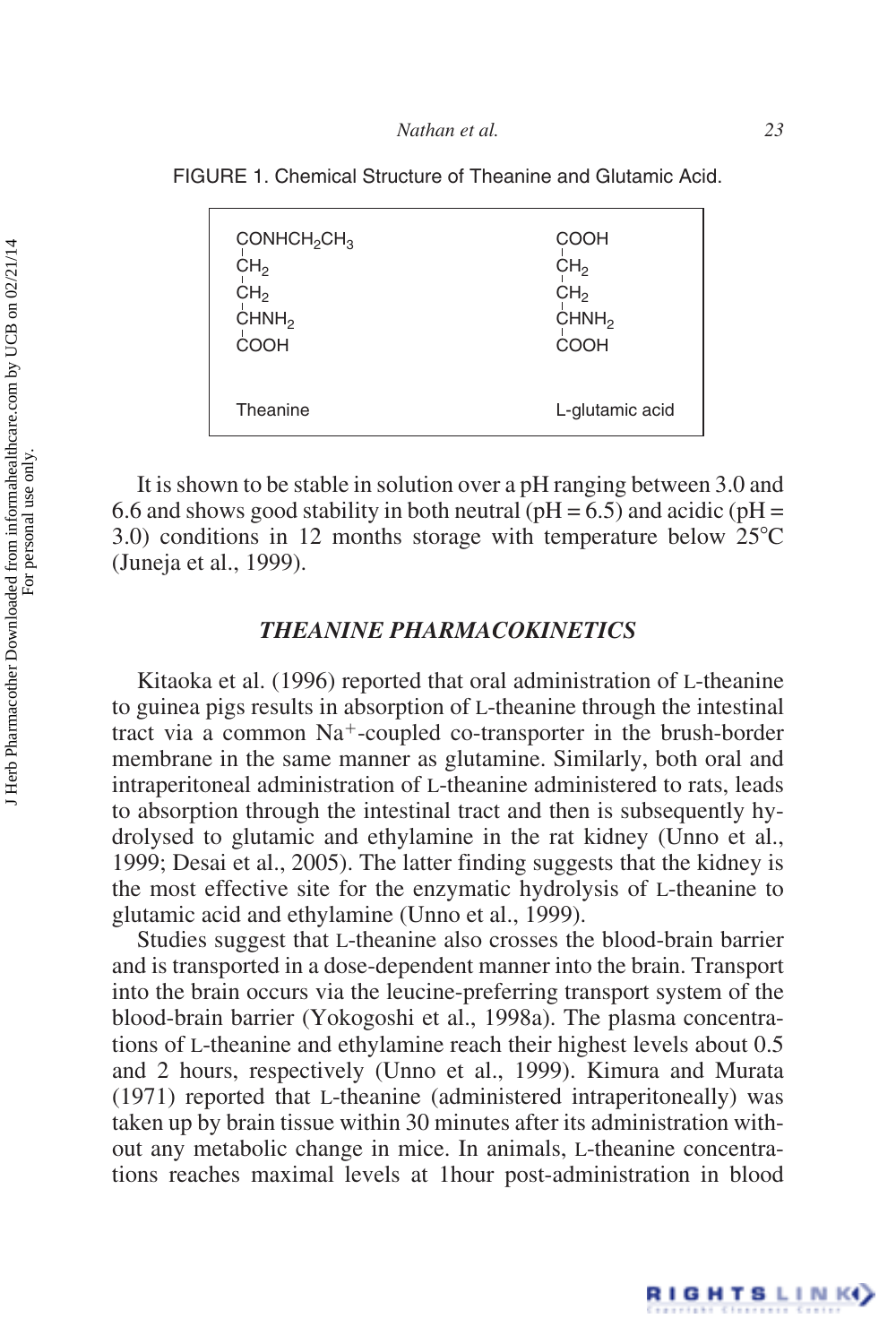FIGURE 1. Chemical Structure of Theanine and Glutamic Acid.

| $COMHCH_2CH_3$    | COOH              |
|-------------------|-------------------|
| CH <sub>2</sub>   | CH <sub>2</sub>   |
| CH <sub>2</sub>   | CH <sub>2</sub>   |
| CHNH <sub>2</sub> | CHNH <sub>2</sub> |
| COOH              | COOH              |
| Theanine          | L-glutamic acid   |

It is shown to be stable in solution over a pH ranging between 3.0 and 6.6 and shows good stability in both neutral ( $pH = 6.5$ ) and acidic ( $pH = 6.5$ ) 3.0) conditions in 12 months storage with temperature below  $25^{\circ}$ C (Juneja et al., 1999).

## *THEANINE PHARMACOKINETICS*

Kitaoka et al. (1996) reported that oral administration of L-theanine to guinea pigs results in absorption of L-theanine through the intestinal tract via a common Na<sup>+</sup>-coupled co-transporter in the brush-border membrane in the same manner as glutamine. Similarly, both oral and intraperitoneal administration of L-theanine administered to rats, leads to absorption through the intestinal tract and then is subsequently hydrolysed to glutamic and ethylamine in the rat kidney (Unno et al., 1999; Desai et al., 2005). The latter finding suggests that the kidney is the most effective site for the enzymatic hydrolysis of L-theanine to glutamic acid and ethylamine (Unno et al., 1999).

Studies suggest that L-theanine also crosses the blood-brain barrier and is transported in a dose-dependent manner into the brain. Transport into the brain occurs via the leucine-preferring transport system of the blood-brain barrier (Yokogoshi et al., 1998a). The plasma concentrations of L-theanine and ethylamine reach their highest levels about 0.5 and 2 hours, respectively (Unno et al., 1999). Kimura and Murata (1971) reported that L-theanine (administered intraperitoneally) was taken up by brain tissue within 30 minutes after its administration without any metabolic change in mice. In animals, L-theanine concentrations reaches maximal levels at 1hour post-administration in blood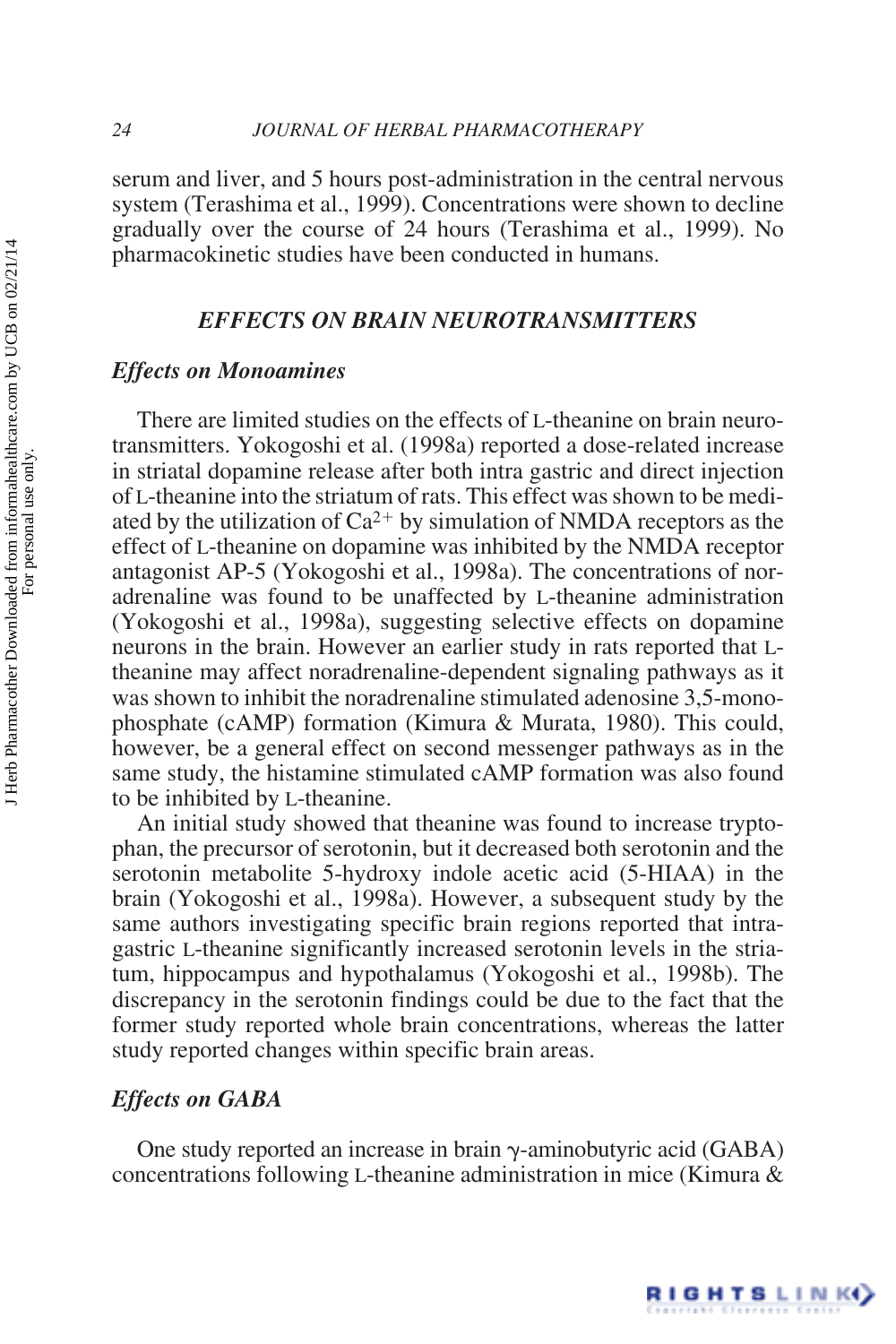serum and liver, and 5 hours post-administration in the central nervous system (Terashima et al., 1999). Concentrations were shown to decline gradually over the course of 24 hours (Terashima et al., 1999). No pharmacokinetic studies have been conducted in humans.

## *EFFECTS ON BRAIN NEUROTRANSMITTERS*

## *Effects on Monoamines*

There are limited studies on the effects of L-theanine on brain neurotransmitters. Yokogoshi et al. (1998a) reported a dose-related increase in striatal dopamine release after both intra gastric and direct injection of L-theanine into the striatum of rats. This effect was shown to be mediated by the utilization of  $Ca^{2+}$  by simulation of NMDA receptors as the effect of L-theanine on dopamine was inhibited by the NMDA receptor antagonist AP-5 (Yokogoshi et al., 1998a). The concentrations of noradrenaline was found to be unaffected by L-theanine administration (Yokogoshi et al., 1998a), suggesting selective effects on dopamine neurons in the brain. However an earlier study in rats reported that Ltheanine may affect noradrenaline-dependent signaling pathways as it was shown to inhibit the noradrenaline stimulated adenosine 3,5-monophosphate (cAMP) formation (Kimura & Murata, 1980). This could, however, be a general effect on second messenger pathways as in the same study, the histamine stimulated cAMP formation was also found to be inhibited by L-theanine.

An initial study showed that theanine was found to increase tryptophan, the precursor of serotonin, but it decreased both serotonin and the serotonin metabolite 5-hydroxy indole acetic acid (5-HIAA) in the brain (Yokogoshi et al., 1998a). However, a subsequent study by the same authors investigating specific brain regions reported that intragastric L-theanine significantly increased serotonin levels in the striatum, hippocampus and hypothalamus (Yokogoshi et al., 1998b). The discrepancy in the serotonin findings could be due to the fact that the former study reported whole brain concentrations, whereas the latter study reported changes within specific brain areas.

## *Effects on GABA*

One study reported an increase in brain  $\gamma$ -aminobutyric acid (GABA) concentrations following L-theanine administration in mice (Kimura &

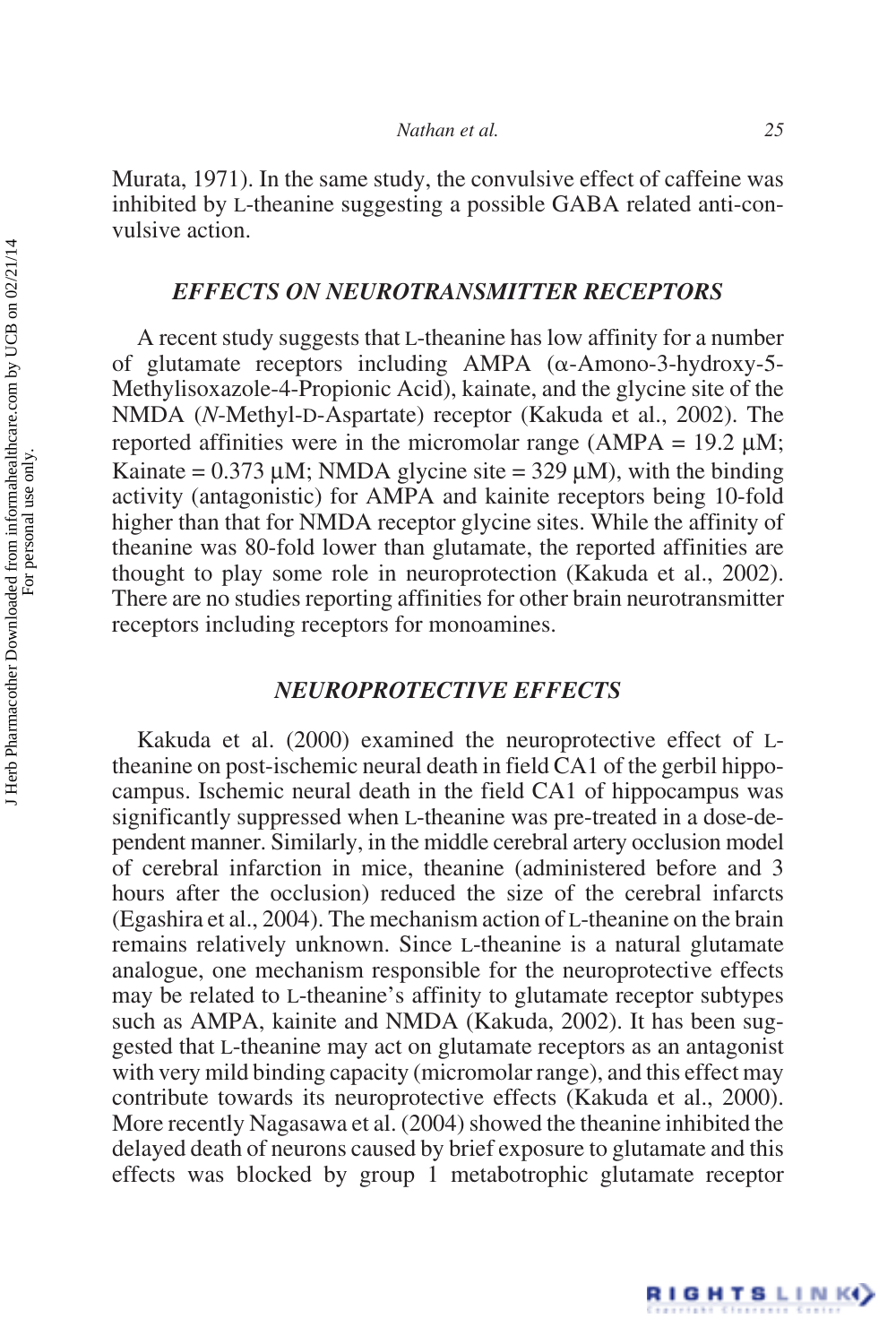Murata, 1971). In the same study, the convulsive effect of caffeine was inhibited by L-theanine suggesting a possible GABA related anti-convulsive action.

## *EFFECTS ON NEUROTRANSMITTER RECEPTORS*

A recent study suggests that L-theanine has low affinity for a number of glutamate receptors including AMPA  $(\alpha$ -Amono-3-hydroxy-5-Methylisoxazole-4-Propionic Acid), kainate, and the glycine site of the NMDA (*N*-Methyl-D-Aspartate) receptor (Kakuda et al., 2002). The reported affinities were in the micromolar range ( $AMPA = 19.2 \mu M$ ; Kainate =  $0.373 \mu$ M; NMDA glycine site =  $329 \mu$ M), with the binding activity (antagonistic) for AMPA and kainite receptors being 10-fold higher than that for NMDA receptor glycine sites. While the affinity of theanine was 80-fold lower than glutamate, the reported affinities are thought to play some role in neuroprotection (Kakuda et al., 2002). There are no studies reporting affinities for other brain neurotransmitter receptors including receptors for monoamines.

## *NEUROPROTECTIVE EFFECTS*

Kakuda et al. (2000) examined the neuroprotective effect of Ltheanine on post-ischemic neural death in field CA1 of the gerbil hippocampus. Ischemic neural death in the field CA1 of hippocampus was significantly suppressed when L-theanine was pre-treated in a dose-dependent manner. Similarly, in the middle cerebral artery occlusion model of cerebral infarction in mice, theanine (administered before and 3 hours after the occlusion) reduced the size of the cerebral infarcts (Egashira et al., 2004). The mechanism action of L-theanine on the brain remains relatively unknown. Since L-theanine is a natural glutamate analogue, one mechanism responsible for the neuroprotective effects may be related to L-theanine's affinity to glutamate receptor subtypes such as AMPA, kainite and NMDA (Kakuda, 2002). It has been suggested that L-theanine may act on glutamate receptors as an antagonist with very mild binding capacity (micromolar range), and this effect may contribute towards its neuroprotective effects (Kakuda et al., 2000). More recently Nagasawa et al. (2004) showed the theanine inhibited the delayed death of neurons caused by brief exposure to glutamate and this effects was blocked by group 1 metabotrophic glutamate receptor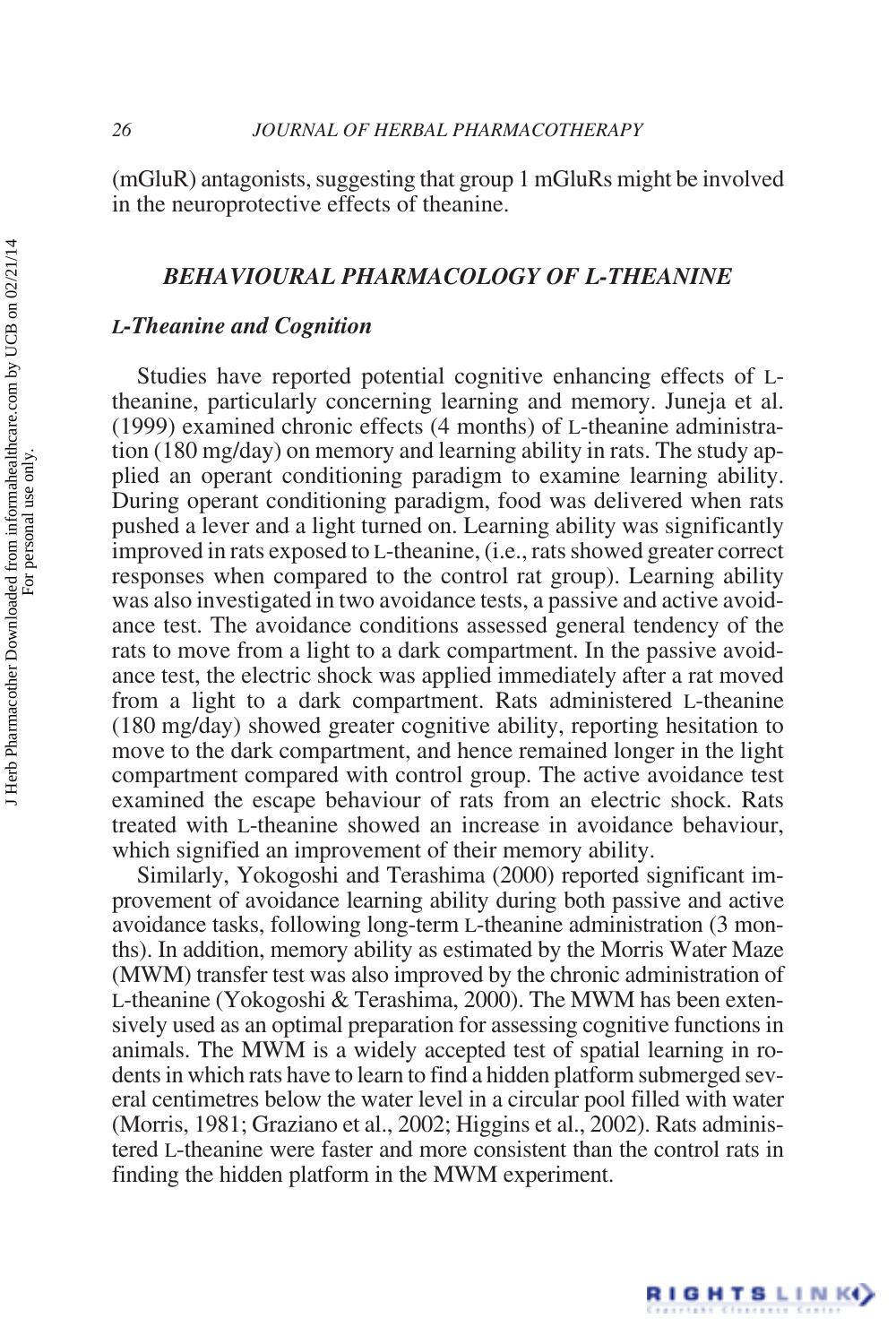(mGluR) antagonists, suggesting that group 1 mGluRs might be involved in the neuroprotective effects of theanine.

## *BEHAVIOURAL PHARMACOLOGY OF L-THEANINE*

#### *L-Theanine and Cognition*

Studies have reported potential cognitive enhancing effects of Ltheanine, particularly concerning learning and memory. Juneja et al. (1999) examined chronic effects (4 months) of L-theanine administration (180 mg/day) on memory and learning ability in rats. The study applied an operant conditioning paradigm to examine learning ability. During operant conditioning paradigm, food was delivered when rats pushed a lever and a light turned on. Learning ability was significantly improved in rats exposed to L-theanine, (i.e., rats showed greater correct responses when compared to the control rat group). Learning ability was also investigated in two avoidance tests, a passive and active avoidance test. The avoidance conditions assessed general tendency of the rats to move from a light to a dark compartment. In the passive avoidance test, the electric shock was applied immediately after a rat moved from a light to a dark compartment. Rats administered L-theanine (180 mg/day) showed greater cognitive ability, reporting hesitation to move to the dark compartment, and hence remained longer in the light compartment compared with control group. The active avoidance test examined the escape behaviour of rats from an electric shock. Rats treated with L-theanine showed an increase in avoidance behaviour, which signified an improvement of their memory ability.

Similarly, Yokogoshi and Terashima (2000) reported significant improvement of avoidance learning ability during both passive and active avoidance tasks, following long-term L-theanine administration (3 months). In addition, memory ability as estimated by the Morris Water Maze (MWM) transfer test was also improved by the chronic administration of L-theanine (Yokogoshi & Terashima, 2000). The MWM has been extensively used as an optimal preparation for assessing cognitive functions in animals. The MWM is a widely accepted test of spatial learning in rodents in which rats have to learn to find a hidden platform submerged several centimetres below the water level in a circular pool filled with water (Morris, 1981; Graziano et al., 2002; Higgins et al., 2002). Rats administered L-theanine were faster and more consistent than the control rats in finding the hidden platform in the MWM experiment.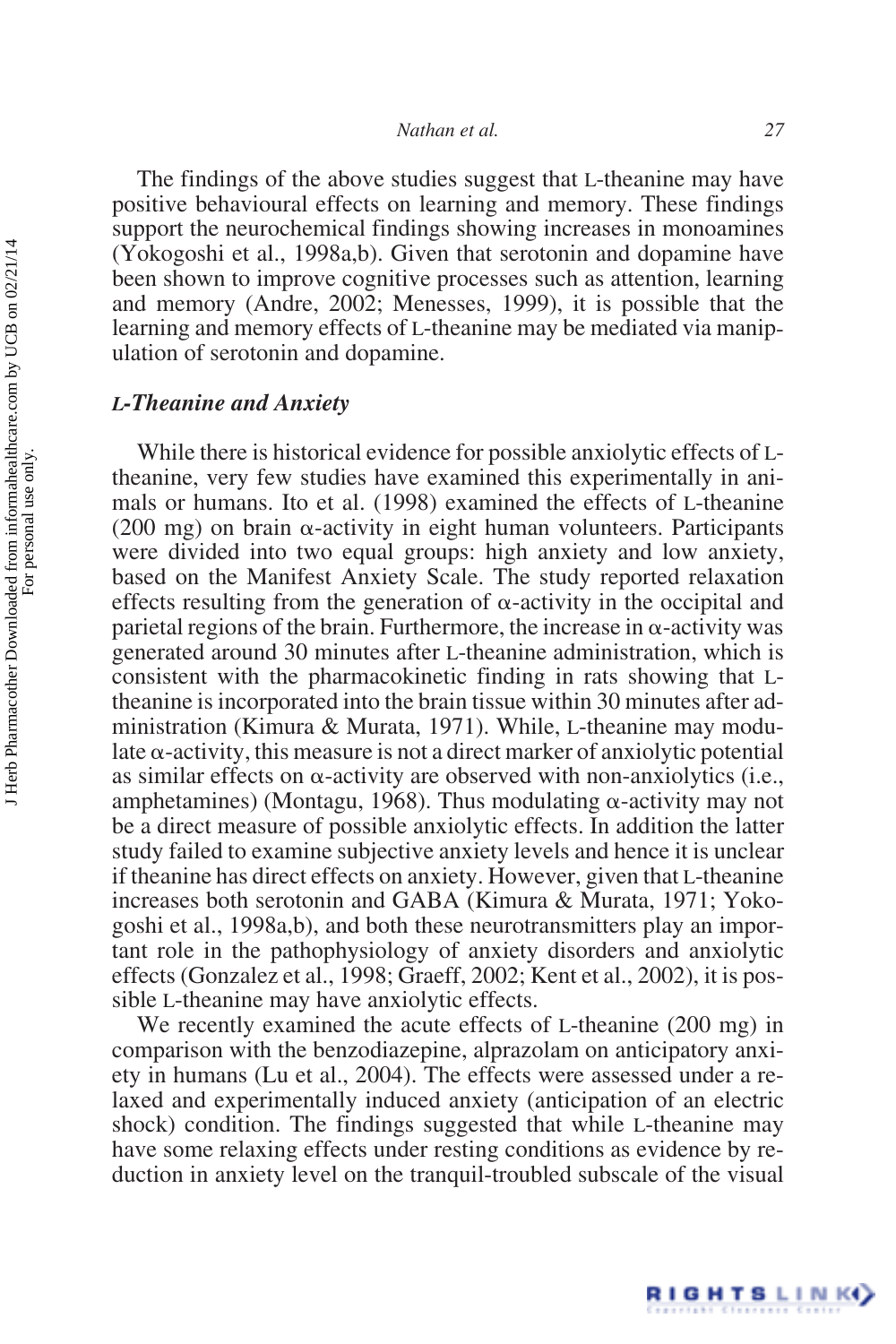The findings of the above studies suggest that L-theanine may have positive behavioural effects on learning and memory. These findings support the neurochemical findings showing increases in monoamines (Yokogoshi et al., 1998a,b). Given that serotonin and dopamine have been shown to improve cognitive processes such as attention, learning and memory (Andre, 2002; Menesses, 1999), it is possible that the learning and memory effects of L-theanine may be mediated via manipulation of serotonin and dopamine.

#### *L-Theanine and Anxiety*

While there is historical evidence for possible anxiolytic effects of Ltheanine, very few studies have examined this experimentally in animals or humans. Ito et al. (1998) examined the effects of L-theanine (200 mg) on brain  $\alpha$ -activity in eight human volunteers. Participants were divided into two equal groups: high anxiety and low anxiety, based on the Manifest Anxiety Scale. The study reported relaxation effects resulting from the generation of  $\alpha$ -activity in the occipital and parietal regions of the brain. Furthermore, the increase in  $\alpha$ -activity was generated around 30 minutes after L-theanine administration, which is consistent with the pharmacokinetic finding in rats showing that Ltheanine is incorporated into the brain tissue within 30 minutes after administration (Kimura & Murata, 1971). While, L-theanine may modulate  $\alpha$ -activity, this measure is not a direct marker of anxiolytic potential as similar effects on  $\alpha$ -activity are observed with non-anxiolytics (i.e., amphetamines) (Montagu, 1968). Thus modulating  $\alpha$ -activity may not be a direct measure of possible anxiolytic effects. In addition the latter study failed to examine subjective anxiety levels and hence it is unclear if theanine has direct effects on anxiety. However, given that L-theanine increases both serotonin and GABA (Kimura & Murata, 1971; Yokogoshi et al., 1998a,b), and both these neurotransmitters play an important role in the pathophysiology of anxiety disorders and anxiolytic effects (Gonzalez et al., 1998; Graeff, 2002; Kent et al., 2002), it is possible L-theanine may have anxiolytic effects.

We recently examined the acute effects of L-theanine (200 mg) in comparison with the benzodiazepine, alprazolam on anticipatory anxiety in humans (Lu et al., 2004). The effects were assessed under a relaxed and experimentally induced anxiety (anticipation of an electric shock) condition. The findings suggested that while L-theanine may have some relaxing effects under resting conditions as evidence by reduction in anxiety level on the tranquil-troubled subscale of the visual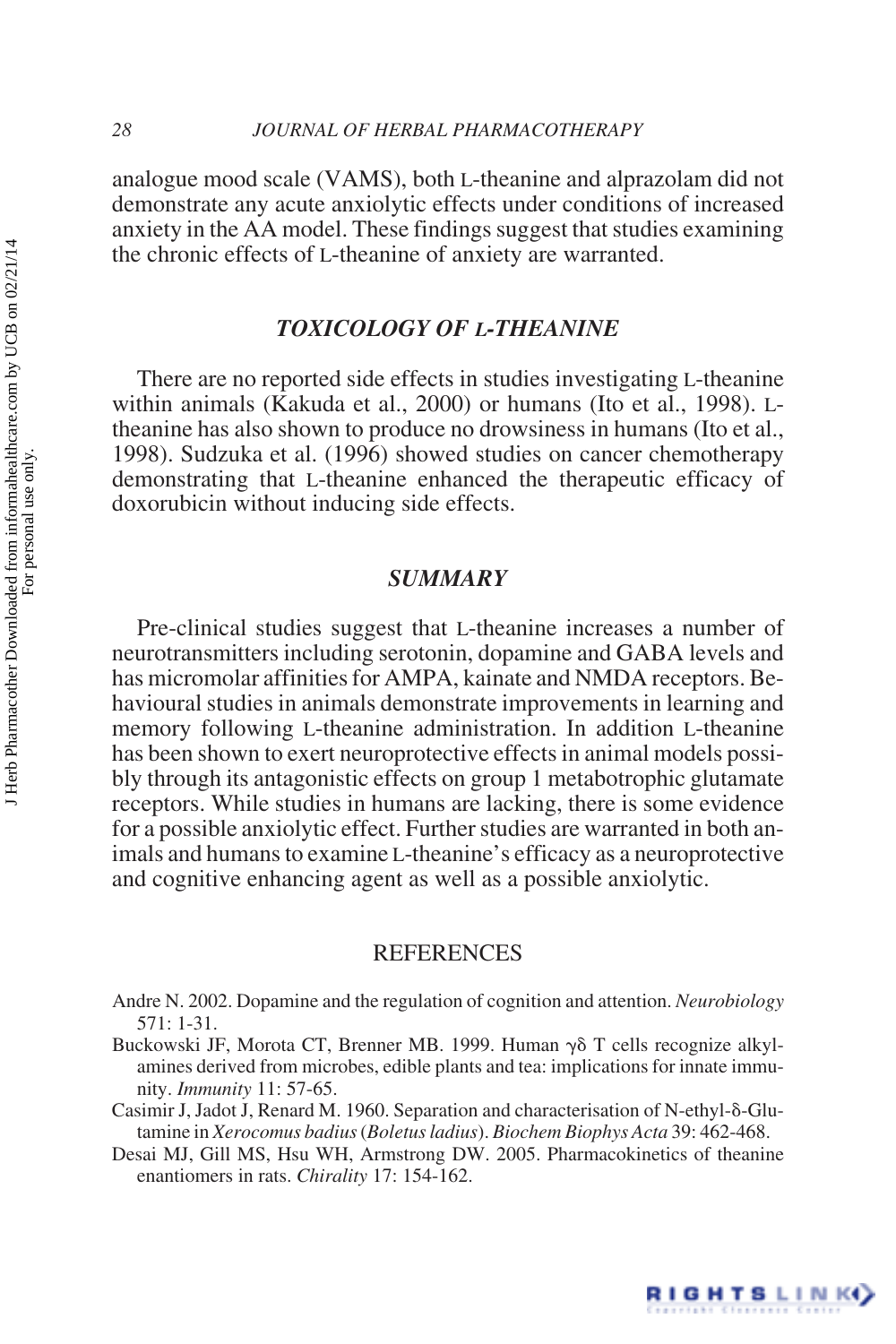analogue mood scale (VAMS), both L-theanine and alprazolam did not demonstrate any acute anxiolytic effects under conditions of increased anxiety in the AA model. These findings suggest that studies examining the chronic effects of L-theanine of anxiety are warranted.

## *TOXICOLOGY OF L-THEANINE*

There are no reported side effects in studies investigating L-theanine within animals (Kakuda et al., 2000) or humans (Ito et al., 1998). Ltheanine has also shown to produce no drowsiness in humans (Ito et al., 1998). Sudzuka et al. (1996) showed studies on cancer chemotherapy demonstrating that L-theanine enhanced the therapeutic efficacy of doxorubicin without inducing side effects.

## *SUMMARY*

Pre-clinical studies suggest that L-theanine increases a number of neurotransmitters including serotonin, dopamine and GABA levels and has micromolar affinities for AMPA, kainate and NMDA receptors. Behavioural studies in animals demonstrate improvements in learning and memory following L-theanine administration. In addition L-theanine has been shown to exert neuroprotective effects in animal models possibly through its antagonistic effects on group 1 metabotrophic glutamate receptors. While studies in humans are lacking, there is some evidence for a possible anxiolytic effect. Further studies are warranted in both animals and humans to examine L-theanine's efficacy as a neuroprotective and cognitive enhancing agent as well as a possible anxiolytic.

## REFERENCES

- Andre N. 2002. Dopamine and the regulation of cognition and attention. *Neurobiology* 571: 1-31.
- Buckowski JF, Morota CT, Brenner MB. 1999. Human  $\gamma\delta$  T cells recognize alkylamines derived from microbes, edible plants and tea: implications for innate immunity. *Immunity* 11: 57-65.
- Casimir J, Jadot J, Renard M. 1960. Separation and characterisation of N-ethyl- $\delta$ -Glutamine in *Xerocomus badius*(*Boletus ladius*). *Biochem Biophys Acta* 39: 462-468.
- Desai MJ, Gill MS, Hsu WH, Armstrong DW. 2005. Pharmacokinetics of theanine enantiomers in rats. *Chirality* 17: 154-162.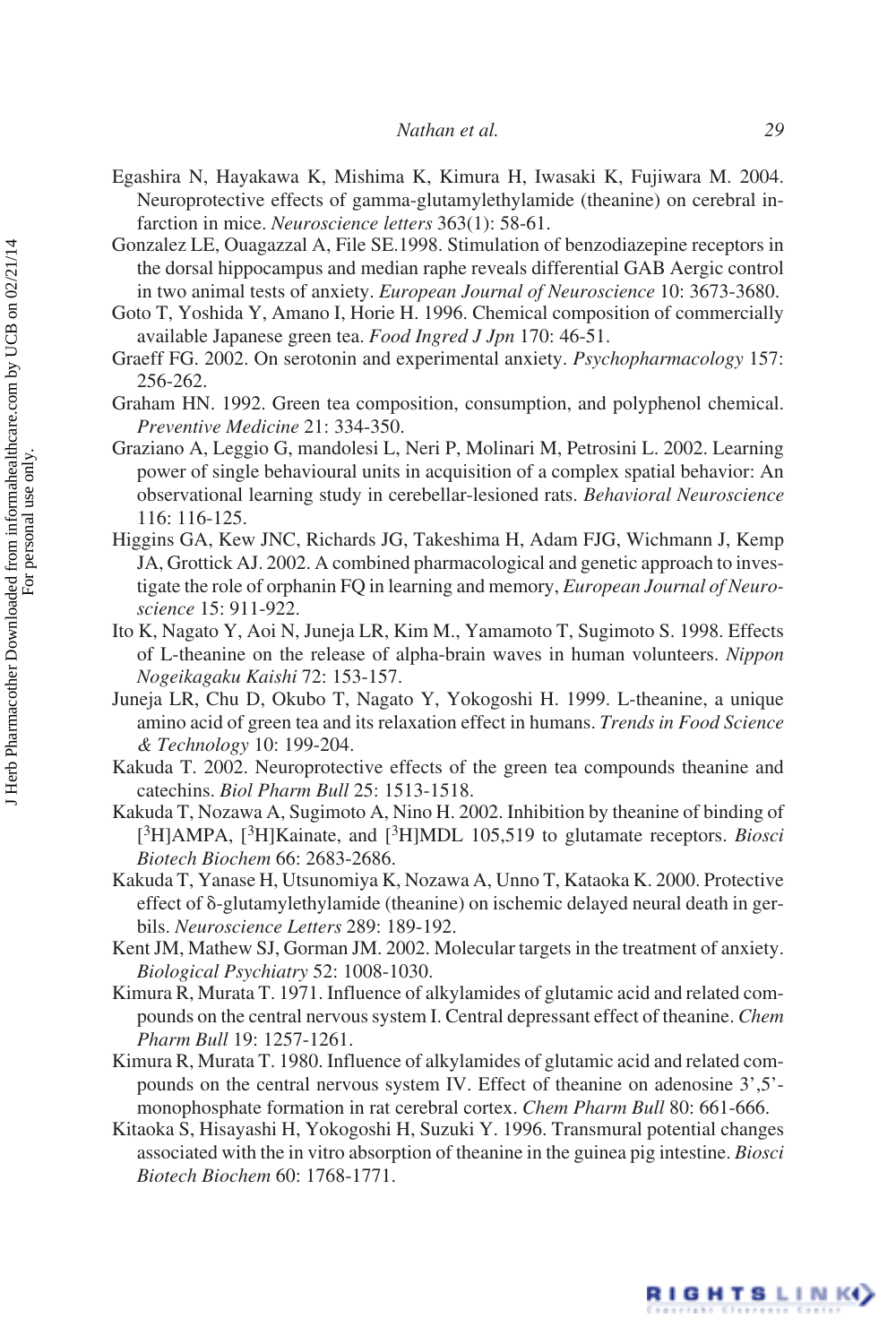- Egashira N, Hayakawa K, Mishima K, Kimura H, Iwasaki K, Fujiwara M. 2004. Neuroprotective effects of gamma-glutamylethylamide (theanine) on cerebral infarction in mice. *Neuroscience letters* 363(1): 58-61.
- Gonzalez LE, Ouagazzal A, File SE.1998. Stimulation of benzodiazepine receptors in the dorsal hippocampus and median raphe reveals differential GAB Aergic control in two animal tests of anxiety. *European Journal of Neuroscience* 10: 3673-3680.
- Goto T, Yoshida Y, Amano I, Horie H. 1996. Chemical composition of commercially available Japanese green tea. *Food Ingred J Jpn* 170: 46-51.
- Graeff FG. 2002. On serotonin and experimental anxiety. *Psychopharmacology* 157: 256-262.
- Graham HN. 1992. Green tea composition, consumption, and polyphenol chemical. *Preventive Medicine* 21: 334-350.
- Graziano A, Leggio G, mandolesi L, Neri P, Molinari M, Petrosini L. 2002. Learning power of single behavioural units in acquisition of a complex spatial behavior: An observational learning study in cerebellar-lesioned rats. *Behavioral Neuroscience* 116: 116-125.
- Higgins GA, Kew JNC, Richards JG, Takeshima H, Adam FJG, Wichmann J, Kemp JA, Grottick AJ. 2002. A combined pharmacological and genetic approach to investigate the role of orphanin FQ in learning and memory, *European Journal of Neuroscience* 15: 911-922.
- Ito K, Nagato Y, Aoi N, Juneja LR, Kim M., Yamamoto T, Sugimoto S. 1998. Effects of L-theanine on the release of alpha-brain waves in human volunteers. *Nippon Nogeikagaku Kaishi* 72: 153-157.
- Juneja LR, Chu D, Okubo T, Nagato Y, Yokogoshi H. 1999. L-theanine, a unique amino acid of green tea and its relaxation effect in humans. *Trends in Food Science & Technology* 10: 199-204.
- Kakuda T. 2002. Neuroprotective effects of the green tea compounds theanine and catechins. *Biol Pharm Bull* 25: 1513-1518.
- Kakuda T, Nozawa A, Sugimoto A, Nino H. 2002. Inhibition by theanine of binding of [3H]AMPA, [3H]Kainate, and [3H]MDL 105,519 to glutamate receptors. *Biosci Biotech Biochem* 66: 2683-2686.
- Kakuda T, Yanase H, Utsunomiya K, Nozawa A, Unno T, Kataoka K. 2000. Protective effect of  $\delta$ -glutamylethylamide (theanine) on ischemic delayed neural death in gerbils. *Neuroscience Letters* 289: 189-192.
- Kent JM, Mathew SJ, Gorman JM. 2002. Molecular targets in the treatment of anxiety. *Biological Psychiatry* 52: 1008-1030.
- Kimura R, Murata T. 1971. Influence of alkylamides of glutamic acid and related compounds on the central nervous system I. Central depressant effect of theanine. *Chem Pharm Bull* 19: 1257-1261.
- Kimura R, Murata T. 1980. Influence of alkylamides of glutamic acid and related compounds on the central nervous system IV. Effect of theanine on adenosine 3',5' monophosphate formation in rat cerebral cortex. *Chem Pharm Bull* 80: 661-666.
- Kitaoka S, Hisayashi H, Yokogoshi H, Suzuki Y. 1996. Transmural potential changes associated with the in vitro absorption of theanine in the guinea pig intestine. *Biosci Biotech Biochem* 60: 1768-1771.